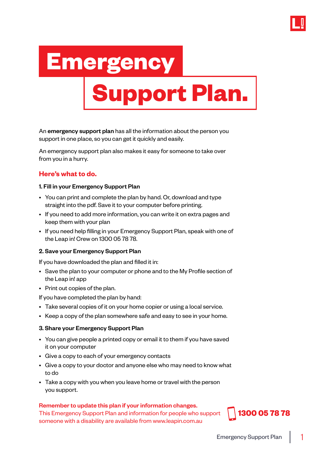

# **Emergency Support Plan.**

An emergency support plan has all the information about the person you support in one place, so you can get it quickly and easily.

An emergency support plan also makes it easy for someone to take over from you in a hurry.

## **Here's what to do.**

#### 1. Fill in your Emergency Support Plan

- You can print and complete the plan by hand. Or, download and type straight into the pdf. Save it to your computer before printing.
- If you need to add more information, you can write it on extra pages and keep them with your plan
- If you need help filling in your Emergency Support Plan, speak with one of the Leap in! Crew on 1300 05 78 78.

#### 2. Save your Emergency Support Plan

If you have downloaded the plan and filled it in:

- Save the plan to your computer or phone and to the My Profile section of the Leap in! app
- Print out copies of the plan.

If you have completed the plan by hand:

- Take several copies of it on your home copier or using a local service.
- Keep a copy of the plan somewhere safe and easy to see in your home.

#### 3. Share your Emergency Support Plan

- You can give people a printed copy or email it to them if you have saved it on your computer
- Give a copy to each of your emergency contacts
- Give a copy to your doctor and anyone else who may need to know what to do
- Take a copy with you when you leave home or travel with the person you support.

#### Remember to update this plan if your information changes.

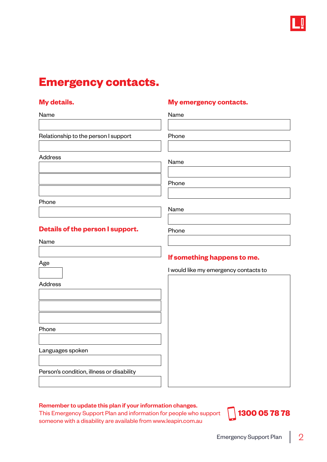

## **Emergency contacts.**

 $\mathbf{I}$ 

#### **My details. My emergency contacts.**

| Name                                      | Name                                  |
|-------------------------------------------|---------------------------------------|
|                                           |                                       |
| Relationship to the person I support      | Phone                                 |
|                                           |                                       |
| <b>Address</b>                            | Name                                  |
|                                           |                                       |
|                                           | Phone                                 |
| Phone                                     |                                       |
|                                           | Name                                  |
|                                           |                                       |
| Details of the person I support.          | Phone                                 |
| Name                                      |                                       |
|                                           | If something happens to me.           |
| Age                                       | I would like my emergency contacts to |
|                                           |                                       |
| <b>Address</b>                            |                                       |
|                                           |                                       |
|                                           |                                       |
|                                           |                                       |
| Phone                                     |                                       |
| Languages spoken                          |                                       |
|                                           |                                       |
|                                           |                                       |
| Person's condition, illness or disability |                                       |

#### Remember to update this plan if your information changes.

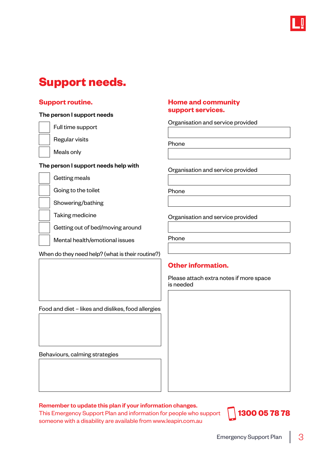

# **Support needs.**

#### The person I support needs

Full time support



Meals only

#### The person I support needs help with

Getting meals

Going to the toilet

Showering/bathing

Taking medicine

Getting out of bed/moving around

Mental health/emotional issues

When do they need help? (what is their routine?)

#### **Support routine. Home and community support services.**

Organisation and service provided

Phone

Organisation and service provided

Phone

Organisation and service provided

Phone

## **Other information.**

Please attach extra notes if more space is needed

Food and diet – likes and dislikes, food allergies

Behaviours, calming strategies

Remember to update this plan if your information changes.

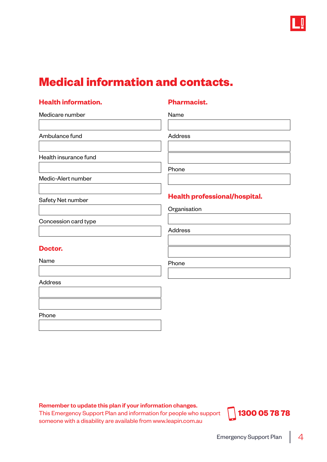

# **Medical information and contacts.**

## **Health information. Pharmacist.**

Name

| Ambulance fund        | <b>Address</b>                       |
|-----------------------|--------------------------------------|
| Health insurance fund |                                      |
|                       | Phone                                |
| Medic-Alert number    |                                      |
| Safety Net number     | <b>Health professional/hospital.</b> |
|                       | Organisation                         |
| Concession card type  |                                      |
|                       | Address                              |
| Doctor.               |                                      |
| Name                  | Phone                                |
| Address               |                                      |
|                       |                                      |
| Phone                 |                                      |

Remember to update this plan if your information changes.

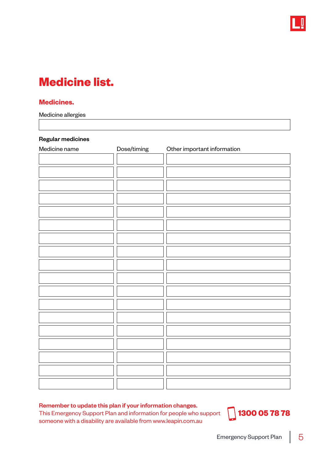

# **Medicine list.**

#### **Medicines.**

Medicine allergies

#### Regular medicines

| Medicine name | Dose/timing | Other important information |
|---------------|-------------|-----------------------------|
|               |             |                             |
|               |             |                             |
|               |             |                             |
|               |             |                             |
|               |             |                             |
|               |             |                             |
|               |             |                             |
|               |             |                             |
|               |             |                             |
|               |             |                             |
|               |             |                             |
|               |             |                             |
|               |             |                             |
|               |             |                             |
|               |             |                             |
|               |             |                             |
|               |             |                             |
|               |             |                             |
|               |             |                             |

#### Remember to update this plan if your information changes.

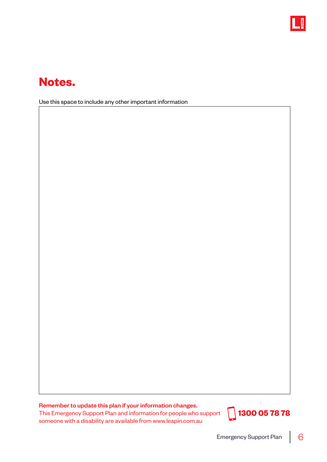

# **Notes.**

Use this space to include any other important information

Remember to update this plan if your information changes.